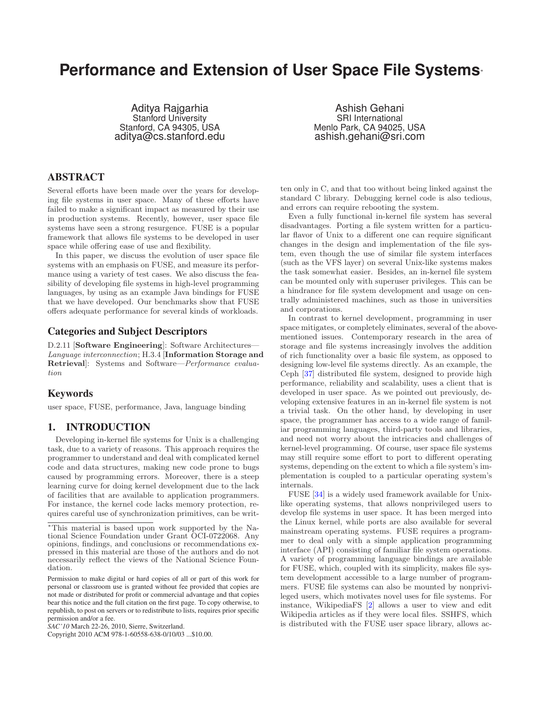# **Performance and Extension of User Space File Systems**<sup>∗</sup>

Aditya Rajgarhia Stanford University Stanford, CA 94305, USA aditya@cs.stanford.edu

Ashish Gehani SRI International Menlo Park, CA 94025, USA ashish.gehani@sri.com

# **ABSTRACT**

Several efforts have been made over the years for developing file systems in user space. Many of these efforts have failed to make a significant impact as measured by their use in production systems. Recently, however, user space file systems have seen a strong resurgence. FUSE is a popular framework that allows file systems to be developed in user space while offering ease of use and flexibility.

In this paper, we discuss the evolution of user space file systems with an emphasis on FUSE, and measure its performance using a variety of test cases. We also discuss the feasibility of developing file systems in high-level programming languages, by using as an example Java bindings for FUSE that we have developed. Our benchmarks show that FUSE offers adequate performance for several kinds of workloads.

## **Categories and Subject Descriptors**

D.2.11 [Software Engineering]: Software Architectures-Language interconnection; H.3.4 [Information Storage and Retrieval]: Systems and Software—Performance evaluation

#### **Keywords**

user space, FUSE, performance, Java, language binding

## **1. INTRODUCTION**

Developing in-kernel file systems for Unix is a challenging task, due to a variety of reasons. This approach requires the programmer to understand and deal with complicated kernel code and data structures, making new code prone to bugs caused by programming errors. Moreover, there is a steep learning curve for doing kernel development due to the lack of facilities that are available to application programmers. For instance, the kernel code lacks memory protection, requires careful use of synchronization primitives, can be writ-

Copyright 2010 ACM 978-1-60558-638-0/10/03 ...\$10.00.

ten only in C, and that too without being linked against the standard C library. Debugging kernel code is also tedious, and errors can require rebooting the system.

Even a fully functional in-kernel file system has several disadvantages. Porting a file system written for a particular flavor of Unix to a different one can require significant changes in the design and implementation of the file system, even though the use of similar file system interfaces (such as the VFS layer) on several Unix-like systems makes the task somewhat easier. Besides, an in-kernel file system can be mounted only with superuser privileges. This can be a hindrance for file system development and usage on centrally administered machines, such as those in universities and corporations.

In contrast to kernel development, programming in user space mitigates, or completely eliminates, several of the abovementioned issues. Contemporary research in the area of storage and file systems increasingly involves the addition of rich functionality over a basic file system, as opposed to designing low-level file systems directly. As an example, the Ceph [\[37\]](#page-7-0) distributed file system, designed to provide high performance, reliability and scalability, uses a client that is developed in user space. As we pointed out previously, developing extensive features in an in-kernel file system is not a trivial task. On the other hand, by developing in user space, the programmer has access to a wide range of familiar programming languages, third-party tools and libraries, and need not worry about the intricacies and challenges of kernel-level programming. Of course, user space file systems may still require some effort to port to different operating systems, depending on the extent to which a file system's implementation is coupled to a particular operating system's internals.

FUSE [\[34\]](#page-7-1) is a widely used framework available for Unixlike operating systems, that allows nonprivileged users to develop file systems in user space. It has been merged into the Linux kernel, while ports are also available for several mainstream operating systems. FUSE requires a programmer to deal only with a simple application programming interface (API) consisting of familiar file system operations. A variety of programming language bindings are available for FUSE, which, coupled with its simplicity, makes file system development accessible to a large number of programmers. FUSE file systems can also be mounted by nonprivileged users, which motivates novel uses for file systems. For instance, WikipediaFS [\[2\]](#page-7-2) allows a user to view and edit Wikipedia articles as if they were local files. SSHFS, which is distributed with the FUSE user space library, allows ac-

<sup>∗</sup>This material is based upon work supported by the National Science Foundation under Grant OCI-0722068. Any opinions, findings, and conclusions or recommendations expressed in this material are those of the authors and do not necessarily reflect the views of the National Science Foundation.

Permission to make digital or hard copies of all or part of this work for personal or classroom use is granted without fee provided that copies are not made or distributed for profit or commercial advantage and that copies bear this notice and the full citation on the first page. To copy otherwise, to republish, to post on servers or to redistribute to lists, requires prior specific permission and/or a fee.

*SAC'10* March 22-26, 2010, Sierre, Switzerland.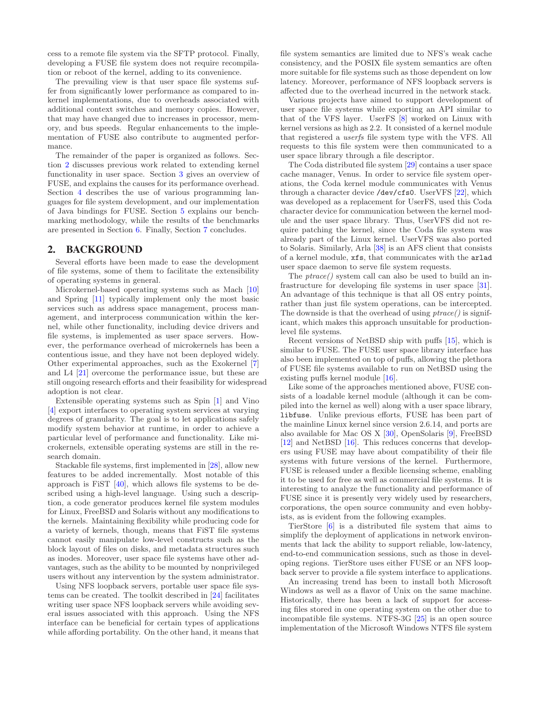cess to a remote file system via the SFTP protocol. Finally, developing a FUSE file system does not require recompilation or reboot of the kernel, adding to its convenience.

The prevailing view is that user space file systems suffer from significantly lower performance as compared to inkernel implementations, due to overheads associated with additional context switches and memory copies. However, that may have changed due to increases in processor, memory, and bus speeds. Regular enhancements to the implementation of FUSE also contribute to augmented performance.

The remainder of the paper is organized as follows. Section [2](#page-1-0) discusses previous work related to extending kernel functionality in user space. Section [3](#page-2-0) gives an overview of FUSE, and explains the causes for its performance overhead. Section [4](#page-3-0) describes the use of various programming languages for file system development, and our implementation of Java bindings for FUSE. Section [5](#page-4-0) explains our benchmarking methodology, while the results of the benchmarks are presented in Section [6.](#page-6-0) Finally, Section [7](#page-6-1) concludes.

#### <span id="page-1-0"></span>**2. BACKGROUND**

Several efforts have been made to ease the development of file systems, some of them to facilitate the extensibility of operating systems in general.

Microkernel-based operating systems such as Mach [\[10\]](#page-7-3) and Spring [\[11\]](#page-7-4) typically implement only the most basic services such as address space management, process management, and interprocess communication within the kernel, while other functionality, including device drivers and file systems, is implemented as user space servers. However, the performance overhead of microkernels has been a contentious issue, and they have not been deployed widely. Other experimental approaches, such as the Exokernel [\[7\]](#page-7-5) and L4 [\[21\]](#page-7-6) overcome the performance issue, but these are still ongoing research efforts and their feasibility for widespread adoption is not clear.

Extensible operating systems such as Spin [\[1\]](#page-7-7) and Vino [\[4\]](#page-7-8) export interfaces to operating system services at varying degrees of granularity. The goal is to let applications safely modify system behavior at runtime, in order to achieve a particular level of performance and functionality. Like microkernels, extensible operating systems are still in the research domain.

Stackable file systems, first implemented in [\[28\]](#page-7-9), allow new features to be added incrementally. Most notable of this approach is FiST [\[40\]](#page-7-10), which allows file systems to be described using a high-level language. Using such a description, a code generator produces kernel file system modules for Linux, FreeBSD and Solaris without any modifications to the kernels. Maintaining flexibility while producing code for a variety of kernels, though, means that FiST file systems cannot easily manipulate low-level constructs such as the block layout of files on disks, and metadata structures such as inodes. Moreover, user space file systems have other advantages, such as the ability to be mounted by nonprivileged users without any intervention by the system administrator.

Using NFS loopback servers, portable user space file systems can be created. The toolkit described in [\[24\]](#page-7-11) facilitates writing user space NFS loopback servers while avoiding several issues associated with this approach. Using the NFS interface can be beneficial for certain types of applications while affording portability. On the other hand, it means that

file system semantics are limited due to NFS's weak cache consistency, and the POSIX file system semantics are often more suitable for file systems such as those dependent on low latency. Moreover, performance of NFS loopback servers is affected due to the overhead incurred in the network stack.

Various projects have aimed to support development of user space file systems while exporting an API similar to that of the VFS layer. UserFS [\[8\]](#page-7-12) worked on Linux with kernel versions as high as 2.2. It consisted of a kernel module that registered a userfs file system type with the VFS. All requests to this file system were then communicated to a user space library through a file descriptor.

The Coda distributed file system [\[29\]](#page-7-13) contains a user space cache manager, Venus. In order to service file system operations, the Coda kernel module communicates with Venus through a character device /dev/cfs0. UserVFS [\[22\]](#page-7-14), which was developed as a replacement for UserFS, used this Coda character device for communication between the kernel module and the user space library. Thus, UserVFS did not require patching the kernel, since the Coda file system was already part of the Linux kernel. UserVFS was also ported to Solaris. Similarly, Arla [\[38\]](#page-7-15) is an AFS client that consists of a kernel module, xfs, that communicates with the arlad user space daemon to serve file system requests.

The *ptrace*() system call can also be used to build an infrastructure for developing file systems in user space [\[31\]](#page-7-16). An advantage of this technique is that all OS entry points, rather than just file system operations, can be intercepted. The downside is that the overhead of using  $\text{degree}(\prime)$  is significant, which makes this approach unsuitable for productionlevel file systems.

Recent versions of NetBSD ship with puffs [\[15\]](#page-7-17), which is similar to FUSE. The FUSE user space library interface has also been implemented on top of puffs, allowing the plethora of FUSE file systems available to run on NetBSD using the existing puffs kernel module [\[16\]](#page-7-18).

Like some of the approaches mentioned above, FUSE consists of a loadable kernel module (although it can be compiled into the kernel as well) along with a user space library, libfuse. Unlike previous efforts, FUSE has been part of the mainline Linux kernel since version 2.6.14, and ports are also available for Mac OS X [\[30\]](#page-7-19), OpenSolaris [\[9\]](#page-7-20), FreeBSD [\[12\]](#page-7-21) and NetBSD [\[16\]](#page-7-18). This reduces concerns that developers using FUSE may have about compatibility of their file systems with future versions of the kernel. Furthermore, FUSE is released under a flexible licensing scheme, enabling it to be used for free as well as commercial file systems. It is interesting to analyze the functionality and performance of FUSE since it is presently very widely used by researchers, corporations, the open source community and even hobbyists, as is evident from the following examples.

TierStore [\[6\]](#page-7-22) is a distributed file system that aims to simplify the deployment of applications in network environments that lack the ability to support reliable, low-latency, end-to-end communication sessions, such as those in developing regions. TierStore uses either FUSE or an NFS loopback server to provide a file system interface to applications.

An increasing trend has been to install both Microsoft Windows as well as a flavor of Unix on the same machine. Historically, there has been a lack of support for accessing files stored in one operating system on the other due to incompatible file systems. NTFS-3G [\[25\]](#page-7-23) is an open source implementation of the Microsoft Windows NTFS file system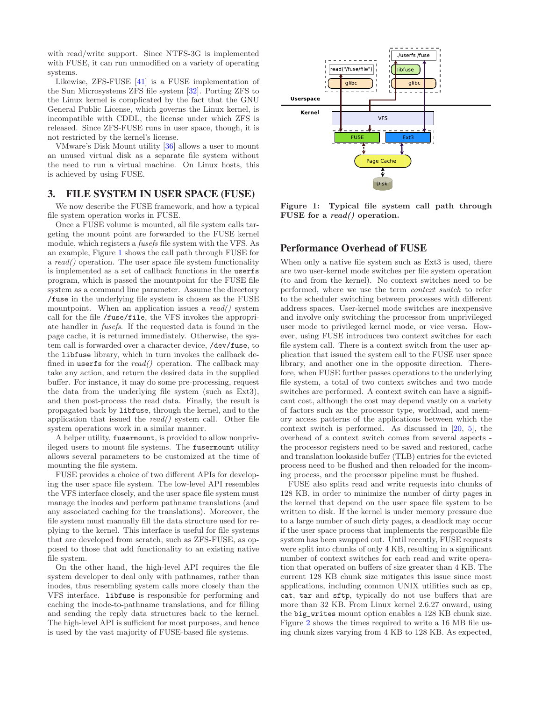with read/write support. Since NTFS-3G is implemented with FUSE, it can run unmodified on a variety of operating systems.

Likewise, ZFS-FUSE [\[41\]](#page-7-24) is a FUSE implementation of the Sun Microsystems ZFS file system [\[32\]](#page-7-25). Porting ZFS to the Linux kernel is complicated by the fact that the GNU General Public License, which governs the Linux kernel, is incompatible with CDDL, the license under which ZFS is released. Since ZFS-FUSE runs in user space, though, it is not restricted by the kernel's license.

VMware's Disk Mount utility [\[36\]](#page-7-26) allows a user to mount an unused virtual disk as a separate file system without the need to run a virtual machine. On Linux hosts, this is achieved by using FUSE.

# <span id="page-2-0"></span>**3. FILE SYSTEM IN USER SPACE (FUSE)**

We now describe the FUSE framework, and how a typical file system operation works in FUSE.

Once a FUSE volume is mounted, all file system calls targeting the mount point are forwarded to the FUSE kernel module, which registers a fusefs file system with the VFS. As an example, Figure [1](#page-2-1) shows the call path through FUSE for a read() operation. The user space file system functionality is implemented as a set of callback functions in the userfs program, which is passed the mountpoint for the FUSE file system as a command line parameter. Assume the directory /fuse in the underlying file system is chosen as the FUSE mountpoint. When an application issues a  $read()$  system call for the file /fuse/file, the VFS invokes the appropriate handler in fusefs. If the requested data is found in the page cache, it is returned immediately. Otherwise, the system call is forwarded over a character device, /dev/fuse, to the libfuse library, which in turn invokes the callback defined in userfs for the  $read()$  operation. The callback may take any action, and return the desired data in the supplied buffer. For instance, it may do some pre-processing, request the data from the underlying file system (such as Ext3), and then post-process the read data. Finally, the result is propagated back by libfuse, through the kernel, and to the application that issued the  $read()$  system call. Other file system operations work in a similar manner.

A helper utility, fusermount, is provided to allow nonprivileged users to mount file systems. The fusermount utility allows several parameters to be customized at the time of mounting the file system.

FUSE provides a choice of two different APIs for developing the user space file system. The low-level API resembles the VFS interface closely, and the user space file system must manage the inodes and perform pathname translations (and any associated caching for the translations). Moreover, the file system must manually fill the data structure used for replying to the kernel. This interface is useful for file systems that are developed from scratch, such as ZFS-FUSE, as opposed to those that add functionality to an existing native file system.

On the other hand, the high-level API requires the file system developer to deal only with pathnames, rather than inodes, thus resembling system calls more closely than the VFS interface. libfuse is responsible for performing and caching the inode-to-pathname translations, and for filling and sending the reply data structures back to the kernel. The high-level API is sufficient for most purposes, and hence is used by the vast majority of FUSE-based file systems.



<span id="page-2-1"></span>Figure 1: Typical file system call path through FUSE for a read() operation.

# **Performance Overhead of FUSE**

When only a native file system such as Ext3 is used, there are two user-kernel mode switches per file system operation (to and from the kernel). No context switches need to be performed, where we use the term context switch to refer to the scheduler switching between processes with different address spaces. User-kernel mode switches are inexpensive and involve only switching the processor from unprivileged user mode to privileged kernel mode, or vice versa. However, using FUSE introduces two context switches for each file system call. There is a context switch from the user application that issued the system call to the FUSE user space library, and another one in the opposite direction. Therefore, when FUSE further passes operations to the underlying file system, a total of two context switches and two mode switches are performed. A context switch can have a significant cost, although the cost may depend vastly on a variety of factors such as the processor type, workload, and memory access patterns of the applications between which the context switch is performed. As discussed in [\[20,](#page-7-27) [5\]](#page-7-28), the overhead of a context switch comes from several aspects the processor registers need to be saved and restored, cache and translation lookaside buffer (TLB) entries for the evicted process need to be flushed and then reloaded for the incoming process, and the processor pipeline must be flushed.

FUSE also splits read and write requests into chunks of 128 KB, in order to minimize the number of dirty pages in the kernel that depend on the user space file system to be written to disk. If the kernel is under memory pressure due to a large number of such dirty pages, a deadlock may occur if the user space process that implements the responsible file system has been swapped out. Until recently, FUSE requests were split into chunks of only 4 KB, resulting in a significant number of context switches for each read and write operation that operated on buffers of size greater than 4 KB. The current 128 KB chunk size mitigates this issue since most applications, including common UNIX utilities such as cp, cat, tar and sftp, typically do not use buffers that are more than 32 KB. From Linux kernel 2.6.27 onward, using the big\_writes mount option enables a 128 KB chunk size. Figure [2](#page-3-1) shows the times required to write a 16 MB file using chunk sizes varying from 4 KB to 128 KB. As expected,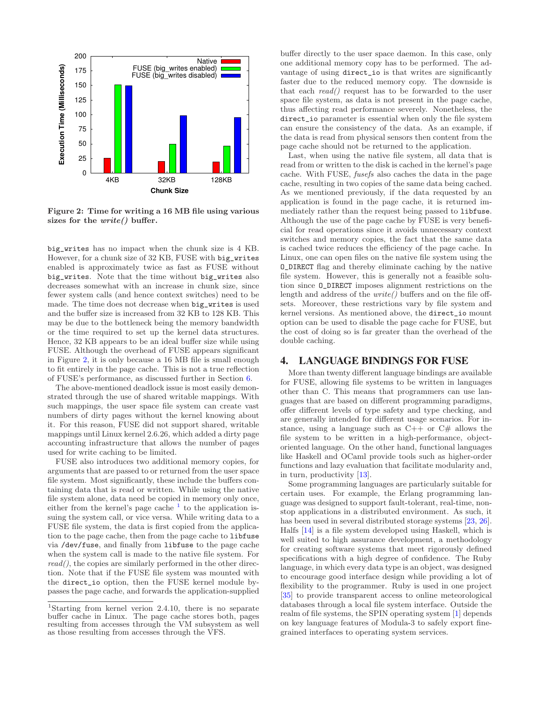

<span id="page-3-1"></span>Figure 2: Time for writing a 16 MB file using various sizes for the  $write()$  buffer.

big\_writes has no impact when the chunk size is 4 KB. However, for a chunk size of 32 KB, FUSE with big\_writes enabled is approximately twice as fast as FUSE without big\_writes. Note that the time without big\_writes also decreases somewhat with an increase in chunk size, since fewer system calls (and hence context switches) need to be made. The time does not decrease when big\_writes is used and the buffer size is increased from 32 KB to 128 KB. This may be due to the bottleneck being the memory bandwidth or the time required to set up the kernel data structures. Hence, 32 KB appears to be an ideal buffer size while using FUSE. Although the overhead of FUSE appears significant in Figure [2,](#page-3-1) it is only because a 16 MB file is small enough to fit entirely in the page cache. This is not a true reflection of FUSE's performance, as discussed further in Section [6.](#page-6-0)

The above-mentioned deadlock issue is most easily demonstrated through the use of shared writable mappings. With such mappings, the user space file system can create vast numbers of dirty pages without the kernel knowing about it. For this reason, FUSE did not support shared, writable mappings until Linux kernel 2.6.26, which added a dirty page accounting infrastructure that allows the number of pages used for write caching to be limited.

FUSE also introduces two additional memory copies, for arguments that are passed to or returned from the user space file system. Most significantly, these include the buffers containing data that is read or written. While using the native file system alone, data need be copied in memory only once, either from the kernel's page cache<sup>[1](#page-3-2)</sup> to the application issuing the system call, or vice versa. While writing data to a FUSE file system, the data is first copied from the application to the page cache, then from the page cache to libfuse via /dev/fuse, and finally from libfuse to the page cache when the system call is made to the native file system. For read(), the copies are similarly performed in the other direction. Note that if the FUSE file system was mounted with the direct\_io option, then the FUSE kernel module bypasses the page cache, and forwards the application-supplied buffer directly to the user space daemon. In this case, only one additional memory copy has to be performed. The advantage of using direct\_io is that writes are significantly faster due to the reduced memory copy. The downside is that each  $read()$  request has to be forwarded to the user space file system, as data is not present in the page cache, thus affecting read performance severely. Nonetheless, the direct\_io parameter is essential when only the file system can ensure the consistency of the data. As an example, if the data is read from physical sensors then content from the page cache should not be returned to the application.

Last, when using the native file system, all data that is read from or written to the disk is cached in the kernel's page cache. With FUSE, fusefs also caches the data in the page cache, resulting in two copies of the same data being cached. As we mentioned previously, if the data requested by an application is found in the page cache, it is returned immediately rather than the request being passed to libfuse. Although the use of the page cache by FUSE is very beneficial for read operations since it avoids unnecessary context switches and memory copies, the fact that the same data is cached twice reduces the efficiency of the page cache. In Linux, one can open files on the native file system using the O\_DIRECT flag and thereby eliminate caching by the native file system. However, this is generally not a feasible solution since O\_DIRECT imposes alignment restrictions on the length and address of the write() buffers and on the file offsets. Moreover, these restrictions vary by file system and kernel versions. As mentioned above, the direct\_io mount option can be used to disable the page cache for FUSE, but the cost of doing so is far greater than the overhead of the double caching.

#### <span id="page-3-0"></span>**4. LANGUAGE BINDINGS FOR FUSE**

More than twenty different language bindings are available for FUSE, allowing file systems to be written in languages other than C. This means that programmers can use languages that are based on different programming paradigms, offer different levels of type safety and type checking, and are generally intended for different usage scenarios. For instance, using a language such as C++ or C# allows the file system to be written in a high-performance, objectoriented language. On the other hand, functional languages like Haskell and OCaml provide tools such as higher-order functions and lazy evaluation that facilitate modularity and, in turn, productivity [\[13\]](#page-7-29).

Some programming languages are particularly suitable for certain uses. For example, the Erlang programming language was designed to support fault-tolerant, real-time, nonstop applications in a distributed environment. As such, it has been used in several distributed storage systems [\[23,](#page-7-30) [26\]](#page-7-31). Halfs [\[14\]](#page-7-32) is a file system developed using Haskell, which is well suited to high assurance development, a methodology for creating software systems that meet rigorously defined specifications with a high degree of confidence. The Ruby language, in which every data type is an object, was designed to encourage good interface design while providing a lot of flexibility to the programmer. Ruby is used in one project [\[35\]](#page-7-33) to provide transparent access to online meteorological databases through a local file system interface. Outside the realm of file systems, the SPIN operating system [\[1\]](#page-7-7) depends on key language features of Modula-3 to safely export finegrained interfaces to operating system services.

<span id="page-3-2"></span><sup>1</sup>Starting from kernel verion 2.4.10, there is no separate buffer cache in Linux. The page cache stores both, pages resulting from accesses through the VM subsystem as well as those resulting from accesses through the VFS.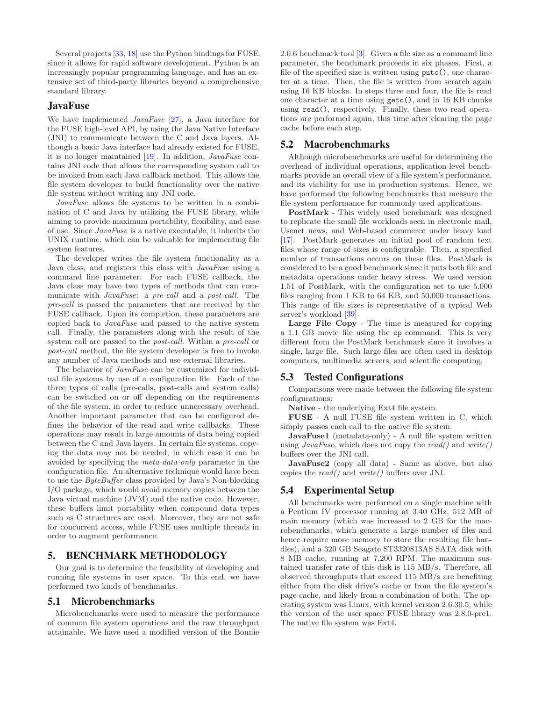Several projects [\[33,](#page-7-34) [18\]](#page-7-35) use the Python bindings for FUSE, since it allows for rapid software development. Python is an increasingly popular programming language, and has an extensive set of third-party libraries beyond a comprehensive standard library.

# **JavaFuse**

We have implemented  $JavaFuse$  [\[27\]](#page-7-36), a Java interface for the FUSE high-level API, by using the Java Native Interface (JNI) to communicate between the C and Java layers. Although a basic Java interface had already existed for FUSE, it is no longer maintained [\[19\]](#page-7-37). In addition, JavaFuse contains JNI code that allows the corresponding system call to be invoked from each Java callback method. This allows the file system developer to build functionality over the native file system without writing any JNI code.

JavaFuse allows file systems to be written in a combination of C and Java by utilizing the FUSE library, while aiming to provide maximum portability, flexibility, and ease of use. Since JavaFuse is a native executable, it inherits the UNIX runtime, which can be valuable for implementing file system features.

The developer writes the file system functionality as a Java class, and registers this class with JavaFuse using a command line parameter. For each FUSE callback, the Java class may have two types of methods that can communicate with JavaFuse: a pre-call and a post-call. The pre-call is passed the parameters that are received by the FUSE callback. Upon its completion, these parameters are copied back to JavaFuse and passed to the native system call. Finally, the parameters along with the result of the system call are passed to the post-call. Within a pre-call or post-call method, the file system developer is free to invoke any number of Java methods and use external libraries.

The behavior of  $JavaFuse$  can be customized for individual file systems by use of a configuration file. Each of the three types of calls (pre-calls, post-calls and system calls) can be switched on or off depending on the requirements of the file system, in order to reduce unnecessary overhead. Another important parameter that can be configured defines the behavior of the read and write callbacks. These operations may result in large amounts of data being copied between the C and Java layers. In certain file systems, copying the data may not be needed, in which case it can be avoided by specifying the meta-data-only parameter in the configuration file. An alternative technique would have been to use the ByteBuffer class provided by Java's Non-blocking I/O package, which would avoid memory copies between the Java virtual machine (JVM) and the native code. However, these buffers limit portability when compound data types such as C structures are used. Moreover, they are not safe for concurrent access, while FUSE uses multiple threads in order to augment performance.

## <span id="page-4-0"></span>**5. BENCHMARK METHODOLOGY**

Our goal is to determine the feasibility of developing and running file systems in user space. To this end, we have performed two kinds of benchmarks.

## **5.1 Microbenchmarks**

Microbenchmarks were used to measure the performance of common file system operations and the raw throughput attainable. We have used a modified version of the Bonnie

2.0.6 benchmark tool [\[3\]](#page-7-38). Given a file size as a command line parameter, the benchmark proceeds in six phases. First, a file of the specified size is written using putc(), one character at a time. Then, the file is written from scratch again using 16 KB blocks. In steps three and four, the file is read one character at a time using getc(), and in 16 KB chunks using read(), respectively. Finally, these two read operations are performed again, this time after clearing the page cache before each step.

### **5.2 Macrobenchmarks**

Although microbenchmarks are useful for determining the overhead of individual operations, application-level benchmarks provide an overall view of a file system's performance, and its viability for use in production systems. Hence, we have performed the following benchmarks that measure the file system performance for commonly used applications.

PostMark - This widely used benchmark was designed to replicate the small file workloads seen in electronic mail, Usenet news, and Web-based commerce under heavy load [\[17\]](#page-7-39). PostMark generates an initial pool of random text files whose range of sizes is configurable. Then, a specified number of transactions occurs on these files. PostMark is considered to be a good benchmark since it puts both file and metadata operations under heavy stress. We used version 1.51 of PostMark, with the configuration set to use 5,000 files ranging from 1 KB to 64 KB, and 50,000 transactions. This range of file sizes is representative of a typical Web server's workload [\[39\]](#page-7-40).

Large File Copy - The time is measured for copying a 1.1 GB movie file using the cp command. This is very different from the PostMark benchmark since it involves a single, large file. Such large files are often used in desktop computers, multimedia servers, and scientific computing.

#### **5.3 Tested Configurations**

Comparisons were made between the following file system configurations:

Native - the underlying Ext4 file system.

FUSE - A null FUSE file system written in C, which simply passes each call to the native file system.

JavaFuse1 (metadata-only) - A null file system written using *JavaFuse*, which does not copy the read() and  $write()$ buffers over the JNI call.

JavaFuse2 (copy all data) - Same as above, but also copies the  $read()$  and  $write()$  buffers over JNI.

## **5.4 Experimental Setup**

All benchmarks were performed on a single machine with a Pentium IV processor running at 3.40 GHz, 512 MB of main memory (which was increased to 2 GB for the macrobenchmarks, which generate a large number of files and hence require more memory to store the resulting file handles), and a 320 GB Seagate ST3320813AS SATA disk with 8 MB cache, running at 7,200 RPM. The maximum sustained transfer rate of this disk is 115 MB/s. Therefore, all observed throughputs that exceed 115 MB/s are benefiting either from the disk drive's cache or from the file system's page cache, and likely from a combination of both. The operating system was Linux, with kernel version 2.6.30.5, while the version of the user space FUSE library was 2.8.0-pre1. The native file system was Ext4.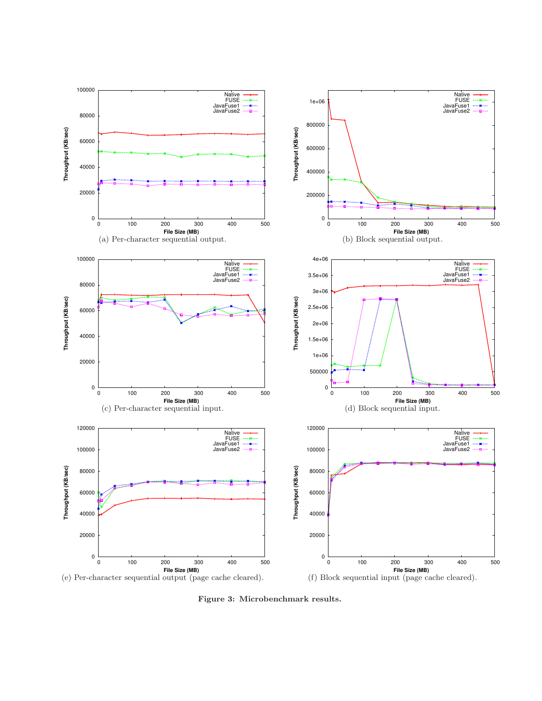<span id="page-5-2"></span><span id="page-5-1"></span>

<span id="page-5-6"></span><span id="page-5-5"></span><span id="page-5-4"></span><span id="page-5-3"></span><span id="page-5-0"></span>Figure 3: Microbenchmark results.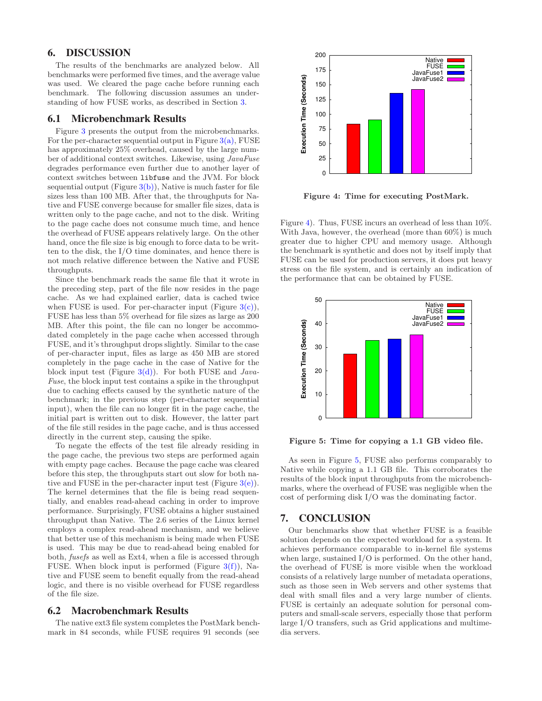# <span id="page-6-0"></span>**6. DISCUSSION**

The results of the benchmarks are analyzed below. All benchmarks were performed five times, and the average value was used. We cleared the page cache before running each benchmark. The following discussion assumes an understanding of how FUSE works, as described in Section [3.](#page-2-0)

#### **6.1 Microbenchmark Results**

Figure [3](#page-5-0) presents the output from the microbenchmarks. For the per-character sequential output in Figure  $3(a)$ , FUSE has approximately 25% overhead, caused by the large number of additional context switches. Likewise, using JavaFuse degrades performance even further due to another layer of context switches between libfuse and the JVM. For block sequential output (Figure  $3(b)$ ), Native is much faster for file sizes less than 100 MB. After that, the throughputs for Native and FUSE converge because for smaller file sizes, data is written only to the page cache, and not to the disk. Writing to the page cache does not consume much time, and hence the overhead of FUSE appears relatively large. On the other hand, once the file size is big enough to force data to be written to the disk, the I/O time dominates, and hence there is not much relative difference between the Native and FUSE throughputs.

Since the benchmark reads the same file that it wrote in the preceding step, part of the file now resides in the page cache. As we had explained earlier, data is cached twice when FUSE is used. For per-character input (Figure  $3(c)$ ), FUSE has less than 5% overhead for file sizes as large as 200 MB. After this point, the file can no longer be accommodated completely in the page cache when accessed through FUSE, and it's throughput drops slightly. Similar to the case of per-character input, files as large as 450 MB are stored completely in the page cache in the case of Native for the block input test (Figure  $3(d)$ ). For both FUSE and Java-Fuse, the block input test contains a spike in the throughput due to caching effects caused by the synthetic nature of the benchmark; in the previous step (per-character sequential input), when the file can no longer fit in the page cache, the initial part is written out to disk. However, the latter part of the file still resides in the page cache, and is thus accessed directly in the current step, causing the spike.

To negate the effects of the test file already residing in the page cache, the previous two steps are performed again with empty page caches. Because the page cache was cleared before this step, the throughputs start out slow for both native and FUSE in the per-character input test (Figure  $3(e)$ ). The kernel determines that the file is being read sequentially, and enables read-ahead caching in order to improve performance. Surprisingly, FUSE obtains a higher sustained throughput than Native. The 2.6 series of the Linux kernel employs a complex read-ahead mechanism, and we believe that better use of this mechanism is being made when FUSE is used. This may be due to read-ahead being enabled for both, fusefs as well as Ext4, when a file is accessed through FUSE. When block input is performed (Figure  $3(f)$ ), Native and FUSE seem to benefit equally from the read-ahead logic, and there is no visible overhead for FUSE regardless of the file size.

## **6.2 Macrobenchmark Results**

The native ext3 file system completes the PostMark benchmark in 84 seconds, while FUSE requires 91 seconds (see



<span id="page-6-2"></span>Figure 4: Time for executing PostMark.

Figure [4\)](#page-6-2). Thus, FUSE incurs an overhead of less than 10%. With Java, however, the overhead (more than 60%) is much greater due to higher CPU and memory usage. Although the benchmark is synthetic and does not by itself imply that FUSE can be used for production servers, it does put heavy stress on the file system, and is certainly an indication of the performance that can be obtained by FUSE.



<span id="page-6-3"></span>Figure 5: Time for copying a 1.1 GB video file.

As seen in Figure [5,](#page-6-3) FUSE also performs comparably to Native while copying a 1.1 GB file. This corroborates the results of the block input throughputs from the microbenchmarks, where the overhead of FUSE was negligible when the cost of performing disk I/O was the dominating factor.

# <span id="page-6-1"></span>**7. CONCLUSION**

Our benchmarks show that whether FUSE is a feasible solution depends on the expected workload for a system. It achieves performance comparable to in-kernel file systems when large, sustained I/O is performed. On the other hand, the overhead of FUSE is more visible when the workload consists of a relatively large number of metadata operations, such as those seen in Web servers and other systems that deal with small files and a very large number of clients. FUSE is certainly an adequate solution for personal computers and small-scale servers, especially those that perform large I/O transfers, such as Grid applications and multimedia servers.